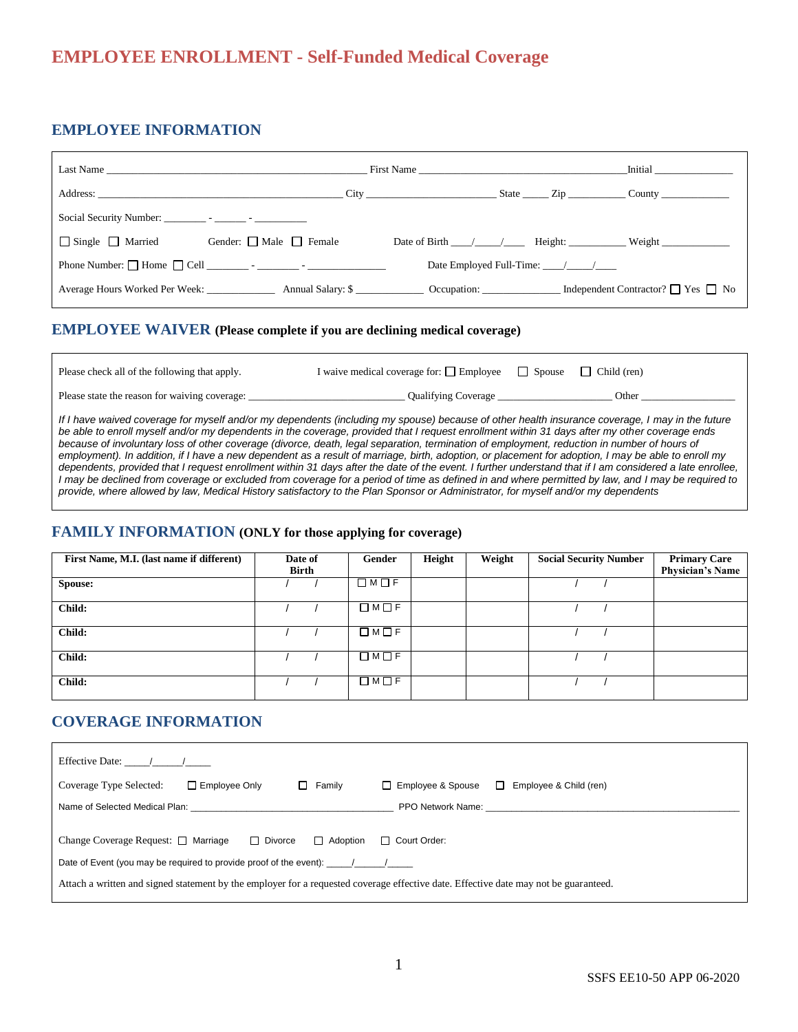# **EMPLOYEE ENROLLMENT - Self-Funded Medical Coverage**

## **EMPLOYEE INFORMATION**

|                                            | Last Name and the state of the state of the state of the state of the state of the state of the state of the state of the state of the state of the state of the state of the state of the state of the state of the state of |                                   | <b>Initial</b>                                                          |
|--------------------------------------------|-------------------------------------------------------------------------------------------------------------------------------------------------------------------------------------------------------------------------------|-----------------------------------|-------------------------------------------------------------------------|
|                                            | Address: City City City                                                                                                                                                                                                       |                                   | $\text{State}$ $\text{Zip}$ $\text{Zip}$ $\text{County}$ $\text{Count}$ |
|                                            |                                                                                                                                                                                                                               |                                   |                                                                         |
| □ Single □ Married Gender: □ Male □ Female |                                                                                                                                                                                                                               |                                   | Date of Birth $\angle$ / Height: Weight                                 |
|                                            | Phone Number: $\Box$ Home $\Box$ Cell $\Box$ $\Box$ $\Box$ $\Box$ $\Box$                                                                                                                                                      | Date Employed Full-Time: $\angle$ |                                                                         |
|                                            | Average Hours Worked Per Week: Annual Salary: \$ Cocupation: Independent Contractor? The Yes No                                                                                                                               |                                   |                                                                         |

#### **EMPLOYEE WAIVER (Please complete if you are declining medical coverage)**

| Please check all of the following that apply. | I waive medical coverage for: $\Box$ Employee | Spouse | Child (ren) |
|-----------------------------------------------|-----------------------------------------------|--------|-------------|
| Please state the reason for waiving coverage: | Qualifying Coverage                           |        | Other       |
| .                                             |                                               |        |             |

*If I have waived coverage for myself and/or my dependents (including my spouse) because of other health insurance coverage, I may in the future be able to enroll myself and/or my dependents in the coverage, provided that I request enrollment within 31 days after my other coverage ends*  because of involuntary loss of other coverage (divorce, death, legal separation, termination of employment, reduction in number of hours of *employment). In addition, if I have a new dependent as a result of marriage, birth, adoption, or placement for adoption, I may be able to enroll my dependents, provided that I request enrollment within 31 days after the date of the event. I further understand that if I am considered a late enrollee, I may be declined from coverage or excluded from coverage for a period of time as defined in and where permitted by law, and I may be required to provide, where allowed by law, Medical History satisfactory to the Plan Sponsor or Administrator, for myself and/or my dependents*

#### **FAMILY INFORMATION (ONLY for those applying for coverage)**

| First Name, M.I. (last name if different) | Date of<br><b>Birth</b> | Gender            | Height | Weight | <b>Social Security Number</b> | <b>Primary Care</b><br><b>Physician's Name</b> |
|-------------------------------------------|-------------------------|-------------------|--------|--------|-------------------------------|------------------------------------------------|
| Spouse:                                   |                         | $\Box M \Box F$   |        |        |                               |                                                |
| Child:                                    |                         | $\Box$ M $\Box$ F |        |        |                               |                                                |
| Child:                                    |                         | $\Box$ M $\Box$ F |        |        |                               |                                                |
| Child:                                    |                         | $\Box$ M $\Box$ F |        |        |                               |                                                |
| Child:                                    |                         | $\Box$ M $\Box$ F |        |        |                               |                                                |

## **COVERAGE INFORMATION**

| Effective Date: $\frac{1}{\sqrt{2}}$                                                                                                                                                                                                                                                                                     |                     |                                  |  |  |  |
|--------------------------------------------------------------------------------------------------------------------------------------------------------------------------------------------------------------------------------------------------------------------------------------------------------------------------|---------------------|----------------------------------|--|--|--|
| Coverage Type Selected:<br>$\Box$ Family<br>$\Box$ Employee Only                                                                                                                                                                                                                                                         | □ Employee & Spouse | Employee & Child (ren)<br>$\Box$ |  |  |  |
| Name of Selected Medical Plan: Name of Selected Medical Plan:                                                                                                                                                                                                                                                            |                     |                                  |  |  |  |
| Change Coverage Request: $\Box$ Marriage $\Box$ Divorce<br>$\Box$ Adoption<br>□ Court Order:<br>Date of Event (you may be required to provide proof of the event): $\frac{1}{2}$<br>Attach a written and signed statement by the employer for a requested coverage effective date. Effective date may not be guaranteed. |                     |                                  |  |  |  |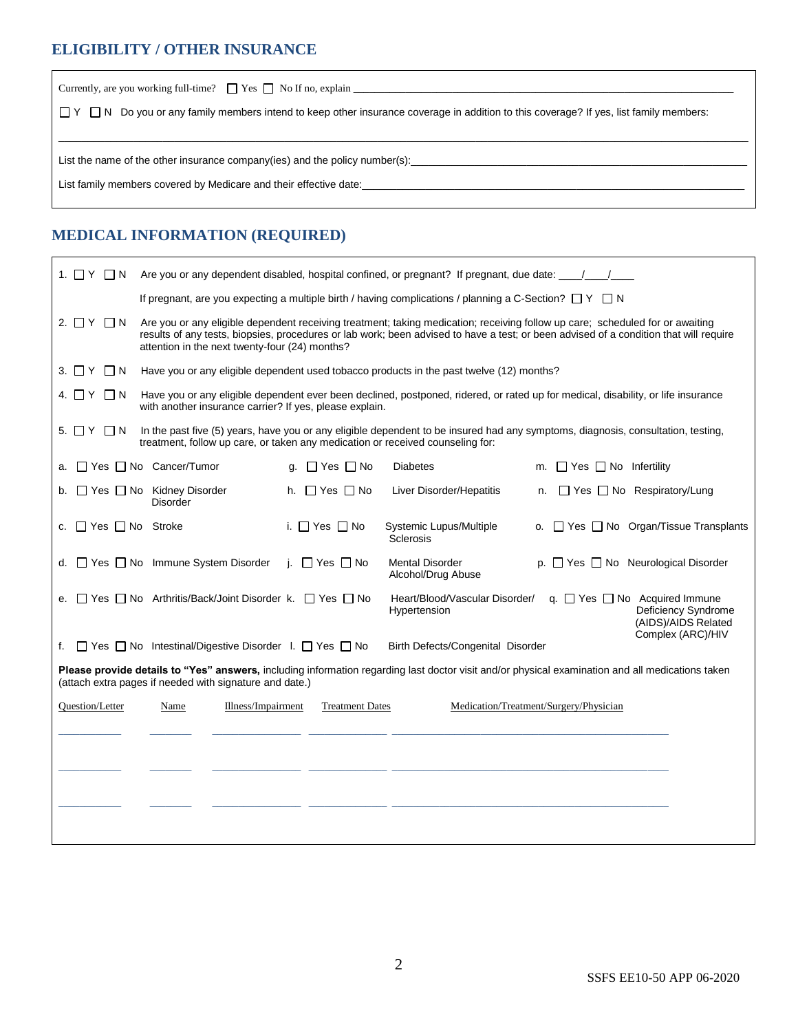## **ELIGIBILITY / OTHER INSURANCE**

 $\mathbf{r}$ 

| Currently, are you working full-time? $\Box$ Yes $\Box$ No If no, explain                                                                         |  |  |  |  |
|---------------------------------------------------------------------------------------------------------------------------------------------------|--|--|--|--|
| $\Box$ Y $\Box$ N Do you or any family members intend to keep other insurance coverage in addition to this coverage? If yes, list family members: |  |  |  |  |
|                                                                                                                                                   |  |  |  |  |
| List the name of the other insurance company(ies) and the policy number(s):                                                                       |  |  |  |  |
| List family members covered by Medicare and their effective date:                                                                                 |  |  |  |  |
|                                                                                                                                                   |  |  |  |  |

## **MEDICAL INFORMATION (REQUIRED)**

| 1. □ Y □ N                                                                                                                                                                                                                                                                                                                                     | Are you or any dependent disabled, hospital confined, or pregnant? If pregnant, due date: $\frac{1}{\sqrt{2}}$   |                            |                                              |                                                                                                                                   |  |
|------------------------------------------------------------------------------------------------------------------------------------------------------------------------------------------------------------------------------------------------------------------------------------------------------------------------------------------------|------------------------------------------------------------------------------------------------------------------|----------------------------|----------------------------------------------|-----------------------------------------------------------------------------------------------------------------------------------|--|
|                                                                                                                                                                                                                                                                                                                                                | If pregnant, are you expecting a multiple birth / having complications / planning a C-Section? $\Box$ Y $\Box$ N |                            |                                              |                                                                                                                                   |  |
| $2. \Box Y \Box N$<br>Are you or any eligible dependent receiving treatment; taking medication; receiving follow up care; scheduled for or awaiting<br>results of any tests, biopsies, procedures or lab work; been advised to have a test; or been advised of a condition that will require<br>attention in the next twenty-four (24) months? |                                                                                                                  |                            |                                              |                                                                                                                                   |  |
| $3. \Box Y \Box N$                                                                                                                                                                                                                                                                                                                             | Have you or any eligible dependent used tobacco products in the past twelve (12) months?                         |                            |                                              |                                                                                                                                   |  |
| 4. □ Y □ N                                                                                                                                                                                                                                                                                                                                     | with another insurance carrier? If yes, please explain.                                                          |                            |                                              | Have you or any eligible dependent ever been declined, postponed, ridered, or rated up for medical, disability, or life insurance |  |
| $5. \Box Y \Box N$                                                                                                                                                                                                                                                                                                                             | treatment, follow up care, or taken any medication or received counseling for:                                   |                            |                                              | In the past five (5) years, have you or any eligible dependent to be insured had any symptoms, diagnosis, consultation, testing,  |  |
| a.                                                                                                                                                                                                                                                                                                                                             | $\Box$ Yes $\Box$ No Cancer/Tumor                                                                                | $\Box$ Yes $\Box$ No<br>q. | <b>Diabetes</b>                              | $\Box$ Yes $\Box$ No Infertility<br>m.                                                                                            |  |
| b.                                                                                                                                                                                                                                                                                                                                             | $\Box$ Yes $\Box$ No Kidney Disorder<br><b>Disorder</b>                                                          | $\Box$ Yes $\Box$ No<br>h. | Liver Disorder/Hepatitis                     | $\Box$ Yes $\Box$ No Respiratory/Lung<br>n.                                                                                       |  |
| $\Box$ Yes $\Box$ No Stroke<br>c.                                                                                                                                                                                                                                                                                                              |                                                                                                                  | i. $\Box$ Yes $\Box$ No    | Systemic Lupus/Multiple<br><b>Sclerosis</b>  | o. □ Yes □ No Organ/Tissue Transplants                                                                                            |  |
| d.                                                                                                                                                                                                                                                                                                                                             | □ Yes □ No Immune System Disorder                                                                                | i. $\Box$ Yes $\Box$ No    | <b>Mental Disorder</b><br>Alcohol/Drug Abuse | p. $\Box$ Yes $\Box$ No Neurological Disorder                                                                                     |  |
| □ Yes □ No Arthritis/Back/Joint Disorder k. □ Yes □ No<br>q. $\Box$ Yes $\Box$ No Acquired Immune<br>Heart/Blood/Vascular Disorder/<br>e.<br>Deficiency Syndrome<br>Hypertension<br>(AIDS)/AIDS Related                                                                                                                                        |                                                                                                                  |                            |                                              |                                                                                                                                   |  |
| f.                                                                                                                                                                                                                                                                                                                                             | □ Yes □ No Intestinal/Digestive Disorder I. □ Yes □ No                                                           |                            | Birth Defects/Congenital Disorder            | Complex (ARC)/HIV                                                                                                                 |  |
| Please provide details to "Yes" answers, including information regarding last doctor visit and/or physical examination and all medications taken<br>(attach extra pages if needed with signature and date.)                                                                                                                                    |                                                                                                                  |                            |                                              |                                                                                                                                   |  |
| Question/Letter                                                                                                                                                                                                                                                                                                                                | Illness/Impairment<br>Name                                                                                       | <b>Treatment Dates</b>     |                                              | Medication/Treatment/Surgery/Physician                                                                                            |  |
|                                                                                                                                                                                                                                                                                                                                                |                                                                                                                  |                            |                                              |                                                                                                                                   |  |
|                                                                                                                                                                                                                                                                                                                                                |                                                                                                                  |                            |                                              |                                                                                                                                   |  |
|                                                                                                                                                                                                                                                                                                                                                |                                                                                                                  |                            |                                              |                                                                                                                                   |  |
|                                                                                                                                                                                                                                                                                                                                                |                                                                                                                  |                            |                                              |                                                                                                                                   |  |
|                                                                                                                                                                                                                                                                                                                                                |                                                                                                                  |                            |                                              |                                                                                                                                   |  |